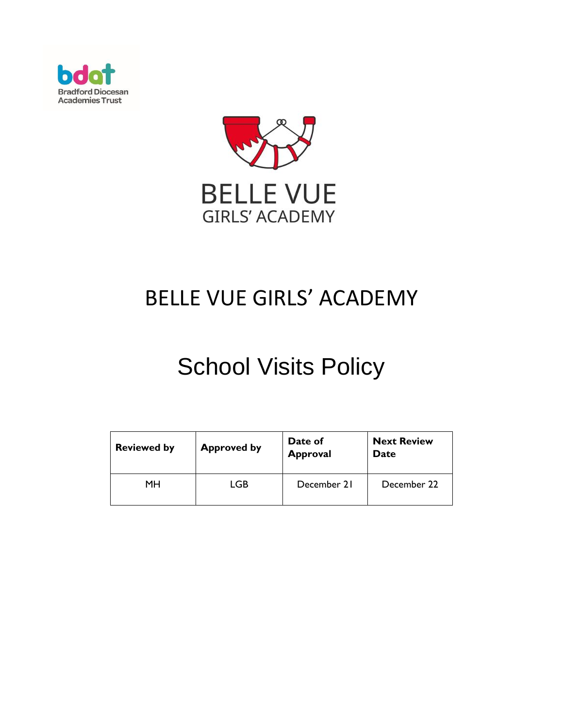



## BELLE VUE GIRLS' ACADEMY

# School Visits Policy

| <b>Reviewed by</b> | <b>Approved by</b> | Date of<br><b>Approval</b> | <b>Next Review</b><br><b>Date</b> |  |  |
|--------------------|--------------------|----------------------------|-----------------------------------|--|--|
| MН                 | LGB                | December 21                | December 22                       |  |  |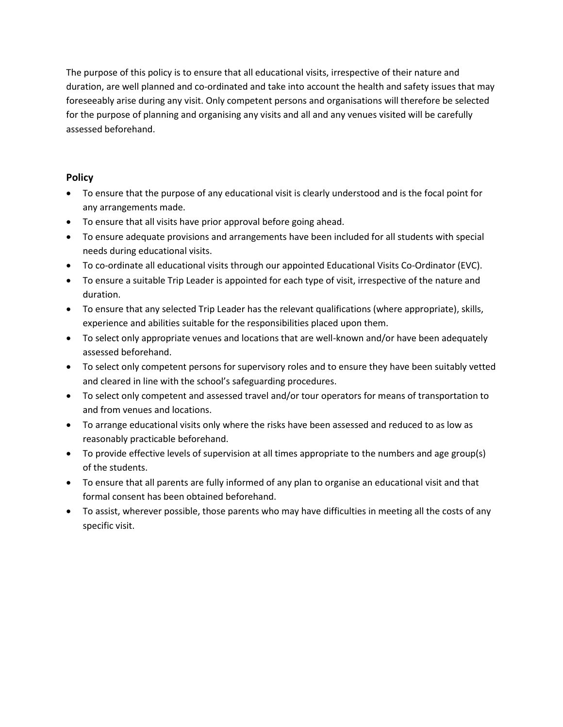The purpose of this policy is to ensure that all educational visits, irrespective of their nature and duration, are well planned and co-ordinated and take into account the health and safety issues that may foreseeably arise during any visit. Only competent persons and organisations will therefore be selected for the purpose of planning and organising any visits and all and any venues visited will be carefully assessed beforehand.

#### **Policy**

- To ensure that the purpose of any educational visit is clearly understood and is the focal point for any arrangements made.
- To ensure that all visits have prior approval before going ahead.
- To ensure adequate provisions and arrangements have been included for all students with special needs during educational visits.
- To co-ordinate all educational visits through our appointed Educational Visits Co-Ordinator (EVC).
- To ensure a suitable Trip Leader is appointed for each type of visit, irrespective of the nature and duration.
- To ensure that any selected Trip Leader has the relevant qualifications (where appropriate), skills, experience and abilities suitable for the responsibilities placed upon them.
- To select only appropriate venues and locations that are well-known and/or have been adequately assessed beforehand.
- To select only competent persons for supervisory roles and to ensure they have been suitably vetted and cleared in line with the school's safeguarding procedures.
- To select only competent and assessed travel and/or tour operators for means of transportation to and from venues and locations.
- To arrange educational visits only where the risks have been assessed and reduced to as low as reasonably practicable beforehand.
- To provide effective levels of supervision at all times appropriate to the numbers and age group(s) of the students.
- To ensure that all parents are fully informed of any plan to organise an educational visit and that formal consent has been obtained beforehand.
- To assist, wherever possible, those parents who may have difficulties in meeting all the costs of any specific visit.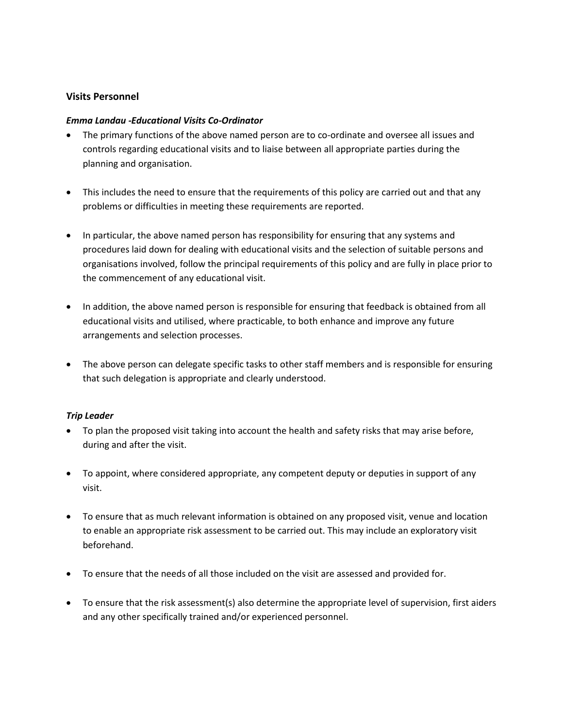#### **Visits Personnel**

#### *Emma Landau -Educational Visits Co-Ordinator*

- The primary functions of the above named person are to co-ordinate and oversee all issues and controls regarding educational visits and to liaise between all appropriate parties during the planning and organisation.
- This includes the need to ensure that the requirements of this policy are carried out and that any problems or difficulties in meeting these requirements are reported.
- In particular, the above named person has responsibility for ensuring that any systems and procedures laid down for dealing with educational visits and the selection of suitable persons and organisations involved, follow the principal requirements of this policy and are fully in place prior to the commencement of any educational visit.
- In addition, the above named person is responsible for ensuring that feedback is obtained from all educational visits and utilised, where practicable, to both enhance and improve any future arrangements and selection processes.
- The above person can delegate specific tasks to other staff members and is responsible for ensuring that such delegation is appropriate and clearly understood.

#### *Trip Leader*

- To plan the proposed visit taking into account the health and safety risks that may arise before, during and after the visit.
- To appoint, where considered appropriate, any competent deputy or deputies in support of any visit.
- To ensure that as much relevant information is obtained on any proposed visit, venue and location to enable an appropriate risk assessment to be carried out. This may include an exploratory visit beforehand.
- To ensure that the needs of all those included on the visit are assessed and provided for.
- To ensure that the risk assessment(s) also determine the appropriate level of supervision, first aiders and any other specifically trained and/or experienced personnel.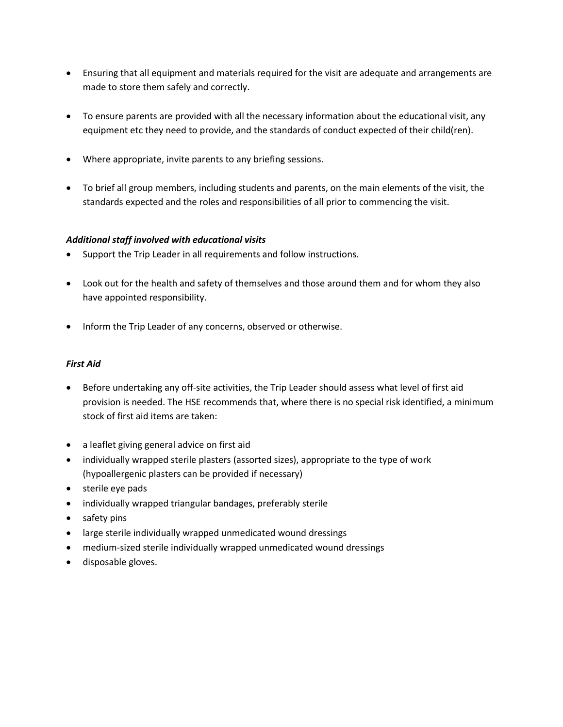- Ensuring that all equipment and materials required for the visit are adequate and arrangements are made to store them safely and correctly.
- To ensure parents are provided with all the necessary information about the educational visit, any equipment etc they need to provide, and the standards of conduct expected of their child(ren).
- Where appropriate, invite parents to any briefing sessions.
- To brief all group members, including students and parents, on the main elements of the visit, the standards expected and the roles and responsibilities of all prior to commencing the visit.

#### *Additional staff involved with educational visits*

- Support the Trip Leader in all requirements and follow instructions.
- Look out for the health and safety of themselves and those around them and for whom they also have appointed responsibility.
- Inform the Trip Leader of any concerns, observed or otherwise.

#### *First Aid*

- Before undertaking any off-site activities, the Trip Leader should assess what level of first aid provision is needed. The HSE recommends that, where there is no special risk identified, a minimum stock of first aid items are taken:
- a leaflet giving general advice on first aid
- individually wrapped sterile plasters (assorted sizes), appropriate to the type of work (hypoallergenic plasters can be provided if necessary)
- sterile eye pads
- individually wrapped triangular bandages, preferably sterile
- safety pins
- large sterile individually wrapped unmedicated wound dressings
- medium-sized sterile individually wrapped unmedicated wound dressings
- disposable gloves.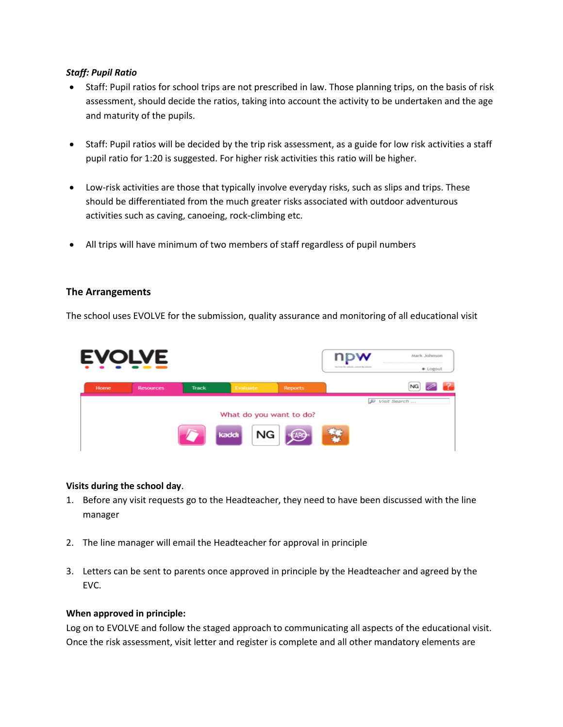#### *Staff: Pupil Ratio*

- Staff: Pupil ratios for school trips are not prescribed in law. Those planning trips, on the basis of risk assessment, should decide the ratios, taking into account the activity to be undertaken and the age and maturity of the pupils.
- Staff: Pupil ratios will be decided by the trip risk assessment, as a guide for low risk activities a staff pupil ratio for 1:20 is suggested. For higher risk activities this ratio will be higher.
- Low-risk activities are those that typically involve everyday risks, such as slips and trips. These should be differentiated from the much greater risks associated with outdoor adventurous activities such as caving, canoeing, rock-climbing etc.
- All trips will have minimum of two members of staff regardless of pupil numbers

#### **The Arrangements**

The school uses EVOLVE for the submission, quality assurance and monitoring of all educational visit



#### **Visits during the school day**.

- 1. Before any visit requests go to the Headteacher, they need to have been discussed with the line manager
- 2. The line manager will email the Headteacher for approval in principle
- 3. Letters can be sent to parents once approved in principle by the Headteacher and agreed by the EVC.

#### **When approved in principle:**

Log on to EVOLVE and follow the staged approach to communicating all aspects of the educational visit. Once the risk assessment, visit letter and register is complete and all other mandatory elements are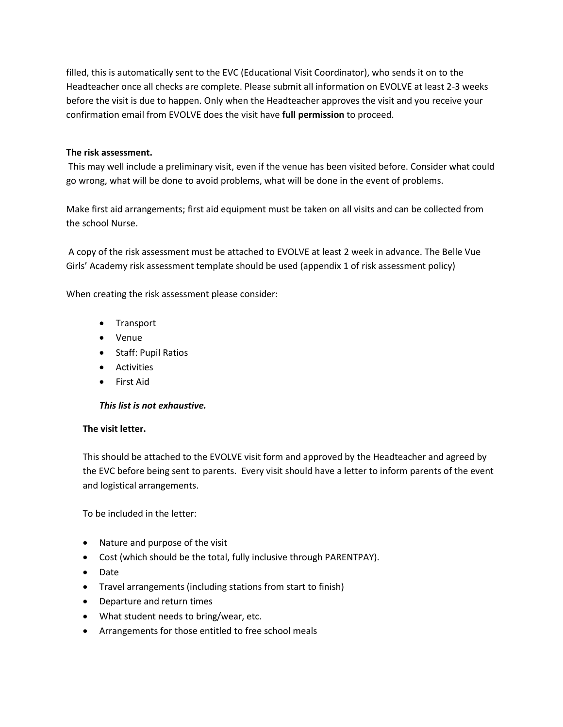filled, this is automatically sent to the EVC (Educational Visit Coordinator), who sends it on to the Headteacher once all checks are complete. Please submit all information on EVOLVE at least 2-3 weeks before the visit is due to happen. Only when the Headteacher approves the visit and you receive your confirmation email from EVOLVE does the visit have **full permission** to proceed.

#### **The risk assessment.**

This may well include a preliminary visit, even if the venue has been visited before. Consider what could go wrong, what will be done to avoid problems, what will be done in the event of problems.

Make first aid arrangements; first aid equipment must be taken on all visits and can be collected from the school Nurse.

A copy of the risk assessment must be attached to EVOLVE at least 2 week in advance. The Belle Vue Girls' Academy risk assessment template should be used (appendix 1 of risk assessment policy)

When creating the risk assessment please consider:

- Transport
- Venue
- Staff: Pupil Ratios
- Activities
- First Aid

#### *This list is not exhaustive.*

#### **The visit letter.**

This should be attached to the EVOLVE visit form and approved by the Headteacher and agreed by the EVC before being sent to parents. Every visit should have a letter to inform parents of the event and logistical arrangements.

To be included in the letter:

- Nature and purpose of the visit
- Cost (which should be the total, fully inclusive through PARENTPAY).
- Date
- Travel arrangements (including stations from start to finish)
- Departure and return times
- What student needs to bring/wear, etc.
- Arrangements for those entitled to free school meals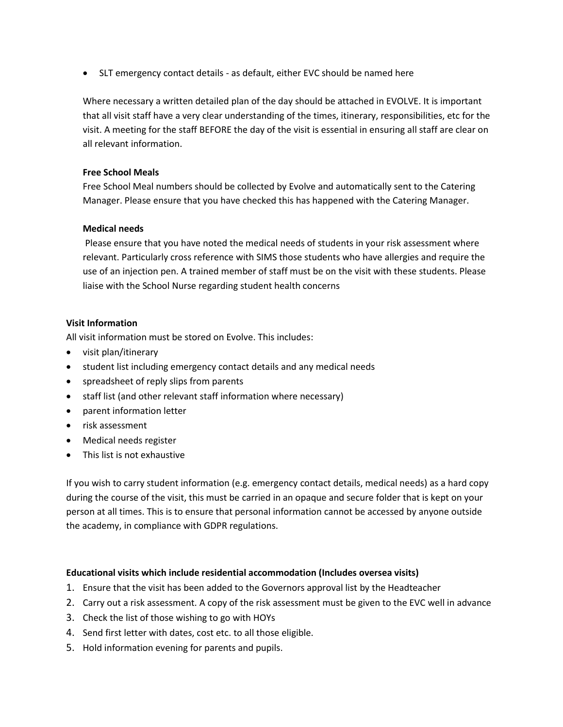• SLT emergency contact details - as default, either EVC should be named here

Where necessary a written detailed plan of the day should be attached in EVOLVE. It is important that all visit staff have a very clear understanding of the times, itinerary, responsibilities, etc for the visit. A meeting for the staff BEFORE the day of the visit is essential in ensuring all staff are clear on all relevant information.

#### **Free School Meals**

Free School Meal numbers should be collected by Evolve and automatically sent to the Catering Manager. Please ensure that you have checked this has happened with the Catering Manager.

#### **Medical needs**

Please ensure that you have noted the medical needs of students in your risk assessment where relevant. Particularly cross reference with SIMS those students who have allergies and require the use of an injection pen. A trained member of staff must be on the visit with these students. Please liaise with the School Nurse regarding student health concerns

#### **Visit Information**

All visit information must be stored on Evolve. This includes:

- visit plan/itinerary
- student list including emergency contact details and any medical needs
- spreadsheet of reply slips from parents
- staff list (and other relevant staff information where necessary)
- parent information letter
- risk assessment
- Medical needs register
- This list is not exhaustive

If you wish to carry student information (e.g. emergency contact details, medical needs) as a hard copy during the course of the visit, this must be carried in an opaque and secure folder that is kept on your person at all times. This is to ensure that personal information cannot be accessed by anyone outside the academy, in compliance with GDPR regulations.

#### **Educational visits which include residential accommodation (Includes oversea visits)**

- 1. Ensure that the visit has been added to the Governors approval list by the Headteacher
- 2. Carry out a risk assessment. A copy of the risk assessment must be given to the EVC well in advance
- 3. Check the list of those wishing to go with HOYs
- 4. Send first letter with dates, cost etc. to all those eligible.
- 5. Hold information evening for parents and pupils.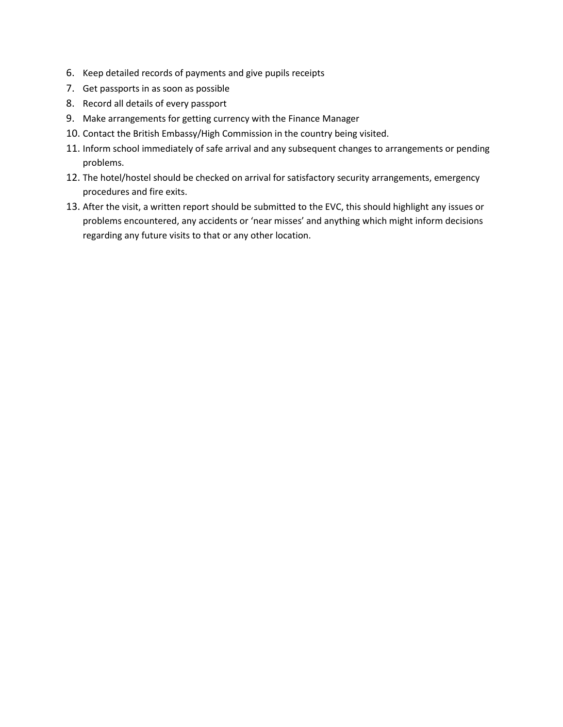- 6. Keep detailed records of payments and give pupils receipts
- 7. Get passports in as soon as possible
- 8. Record all details of every passport
- 9. Make arrangements for getting currency with the Finance Manager
- 10. Contact the British Embassy/High Commission in the country being visited.
- 11. Inform school immediately of safe arrival and any subsequent changes to arrangements or pending problems.
- 12. The hotel/hostel should be checked on arrival for satisfactory security arrangements, emergency procedures and fire exits.
- 13. After the visit, a written report should be submitted to the EVC, this should highlight any issues or problems encountered, any accidents or 'near misses' and anything which might inform decisions regarding any future visits to that or any other location.